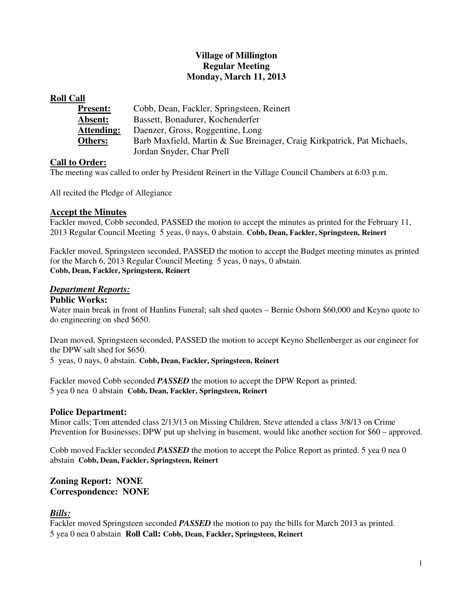## **Village of Millington Regular Meeting Monday, March 11, 2013**

#### **Roll Call**

| <b>Present:</b> | Cobb, Dean, Fackler, Springsteen, Reinert                               |
|-----------------|-------------------------------------------------------------------------|
| <b>Absent:</b>  | Bassett, Bonadurer, Kochenderfer                                        |
| Attending:      | Daenzer, Gross, Roggentine, Long                                        |
| <b>Others:</b>  | Barb Maxfield, Martin & Sue Breinager, Craig Kirkpatrick, Pat Michaels, |
|                 | Jordan Snyder, Char Prell                                               |

### **Call to Order:**

The meeting was called to order by President Reinert in the Village Council Chambers at 6:03 p.m.

All recited the Pledge of Allegiance

#### **Accept the Minutes**

Fackler moved, Cobb seconded, PASSED the motion to accept the minutes as printed for the February 11, 2013 Regular Council Meeting 5 yeas, 0 nays, 0 abstain. **Cobb, Dean, Fackler, Springsteen, Reinert** 

Fackler moved, Springsteen seconded, PASSED the motion to accept the Budget meeting minutes as printed for the March 6, 2013 Regular Council Meeting 5 yeas, 0 nays, 0 abstain. **Cobb, Dean, Fackler, Springsteen, Reinert** 

#### *Department Reports:*

#### **Public Works:**

Water main break in front of Hanlins Funeral; salt shed quotes – Bernie Osborn \$60,000 and Keyno quote to do engineering on shed \$650.

Dean moved, Springsteen seconded, PASSED the motion to accept Keyno Shellenberger as our engineer for the DPW salt shed for \$650.

5 yeas, 0 nays, 0 abstain. **Cobb, Dean, Fackler, Springsteen, Reinert** 

Fackler moved Cobb seconded *PASSED* the motion to accept the DPW Report as printed. 5 yea 0 nea 0 abstain **Cobb, Dean, Fackler, Springsteen, Reinert** 

#### **Police Department:**

Minor calls; Tom attended class 2/13/13 on Missing Children, Steve attended a class 3/8/13 on Crime Prevention for Businesses; DPW put up shelving in basement, would like another section for \$60 – approved.

Cobb moved Fackler seconded *PASSED* the motion to accept the Police Report as printed. 5 yea 0 nea 0 abstain **Cobb, Dean, Fackler, Springsteen, Reinert**

#### **Zoning Report: NONE Correspondence: NONE**

### *Bills:*

Fackler moved Springsteen seconded *PASSED* the motion to pay the bills for March 2013 as printed. 5 yea 0 nea 0 abstain **Roll Call: Cobb, Dean, Fackler, Springsteen, Reinert**